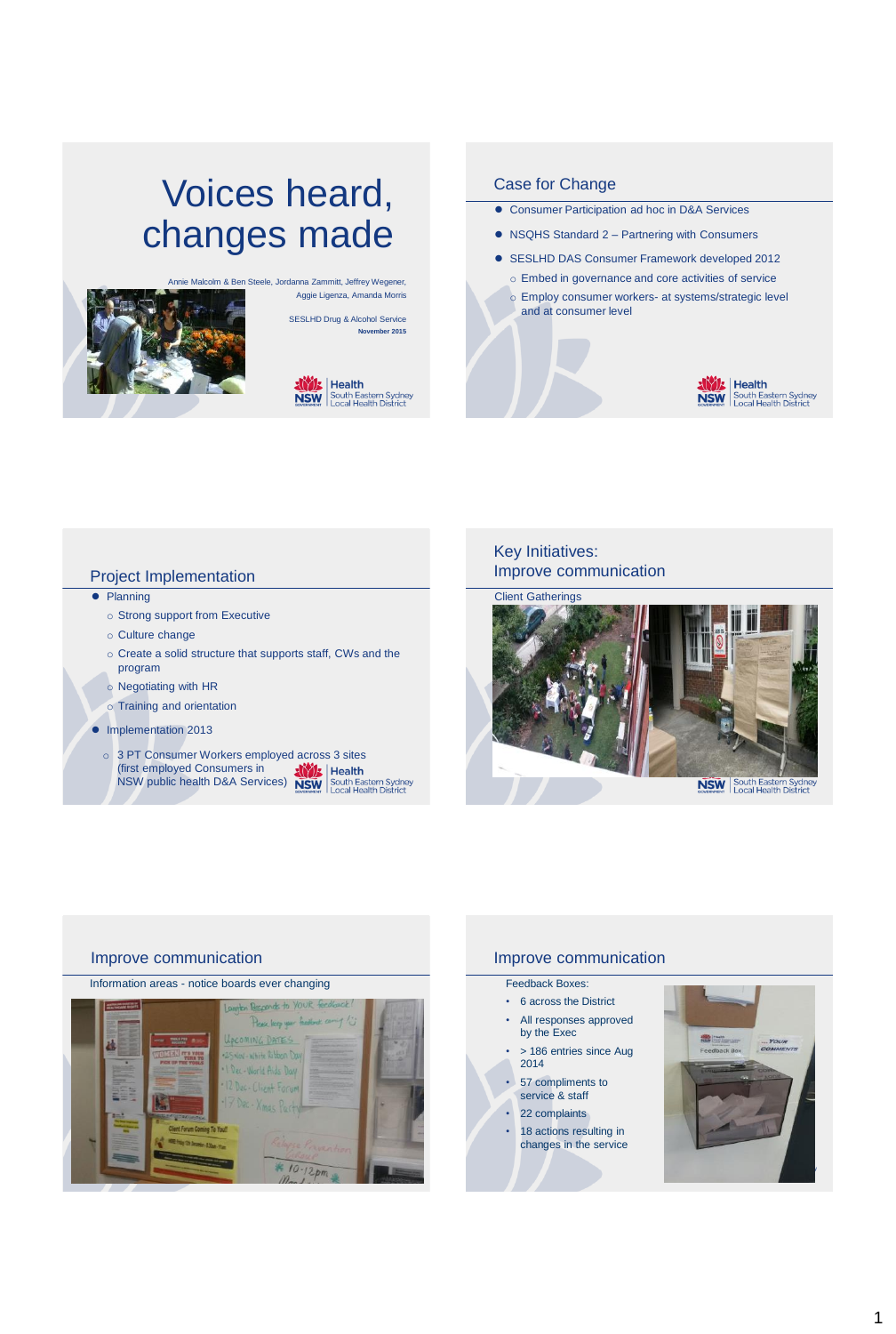# Voices heard, changes made



Aggie Ligenza, Amanda Morris SESLHD Drug & Alcohol Service

**November 2015**



# Case for Change

- Consumer Participation ad hoc in D&A Services
- NSQHS Standard 2 Partnering with Consumers
- SESLHD DAS Consumer Framework developed 2012
	- o Embed in governance and core activities of service o Employ consumer workers- at systems/strategic level and at consumer level



# Project Implementation

- Planning
	- o Strong support from Executive
	- o Culture change
	- o Create a solid structure that supports staff, CWs and the program
	- o Negotiating with HR
	- o Training and orientation
- Implementation 2013
	- o 3 PT Consumer Workers employed across 3 sites (first employed Consumers in NSW public health D&A Services)

# Key Initiatives: Improve communication



# Improve communication

### Information areas - notice boards ever changing



# Improve communication

## Feedback Boxes:

- 6 across the District
- All responses approved by the Exec
- > 186 entries since Aug 2014
- 57 compliments to service & staff
- 22 complaints
- 18 actions resulting in changes in the service

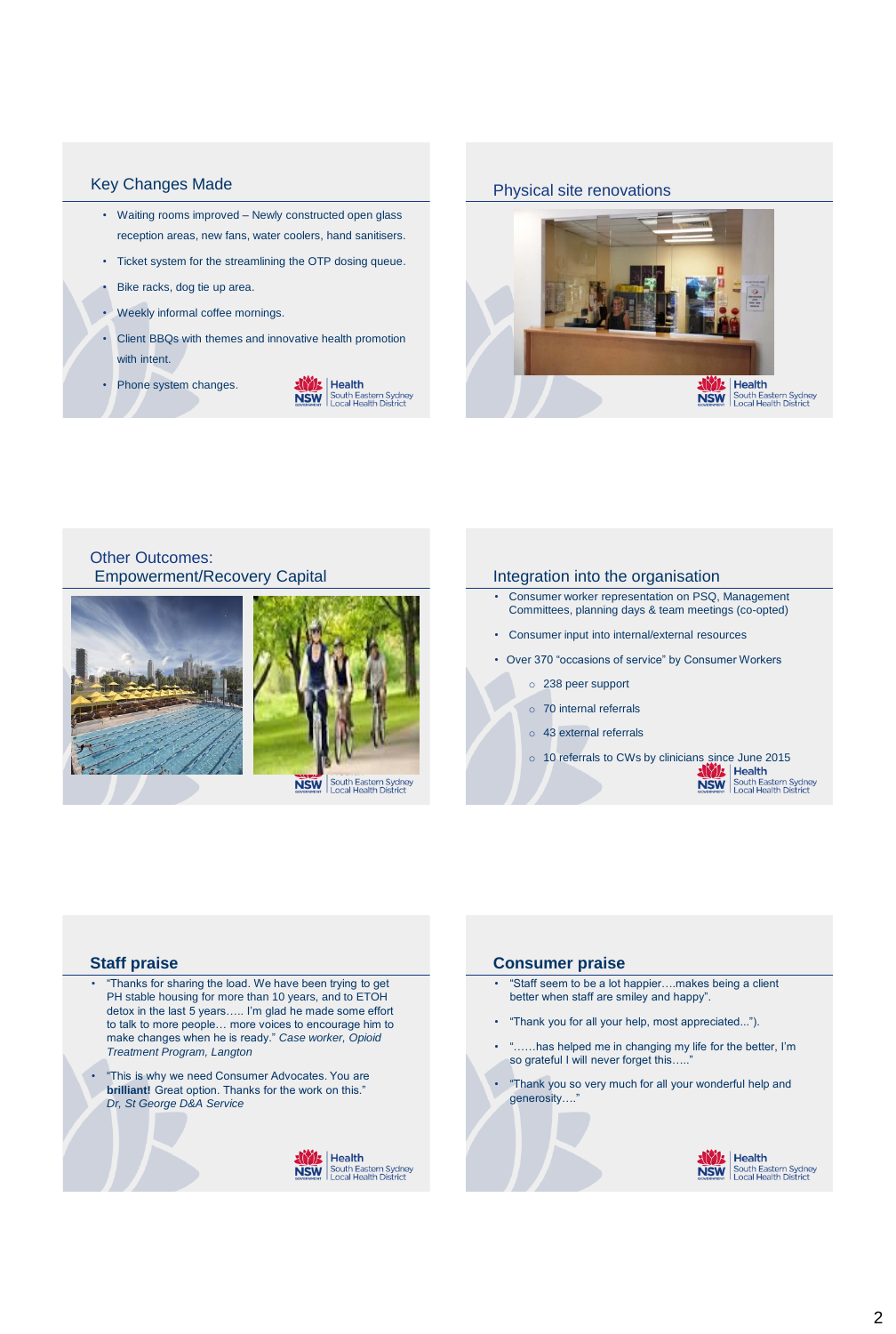# Key Changes Made

- Waiting rooms improved Newly constructed open glass reception areas, new fans, water coolers, hand sanitisers.
- Ticket system for the streamlining the OTP dosing queue.
- Bike racks, dog tie up area.
- Weekly informal coffee mornings.
- Client BBQs with themes and innovative health promotion with intent.
- Phone system changes.



### Physical site renovations



# Other Outcomes: Empowerment/Recovery Capital **Integration into the organisation**





- Consumer worker representation on PSQ, Management Committees, planning days & team meetings (co-opted)
- Consumer input into internal/external resources
- Over 370 "occasions of service" by Consumer Workers
	- o 238 peer support
	- o 70 internal referrals
	- o 43 external referrals
	- o 10 referrals to CWs by clinicians since June 2015<br> **AND Health District Sydney**<br> **NSW** South Eastern Sydney<br>
	Local Health District

#### **Staff praise**

- "Thanks for sharing the load. We have been trying to get PH stable housing for more than 10 years, and to ETOH detox in the last 5 years….. I'm glad he made some effort to talk to more people… more voices to encourage him to make changes when he is ready." *Case worker, Opioid Treatment Program, Langton*
- "This is why we need Consumer Advocates. You are **brilliant!** Great option. Thanks for the work on this." *Dr, St George D&A Service*



#### **Consumer praise**

- "Staff seem to be a lot happier….makes being a client better when staff are smiley and happy".
- "Thank you for all your help, most appreciated...").
- "……has helped me in changing my life for the better, I'm so grateful I will never forget this.....
- "Thank you so very much for all your wonderful help and generosity....